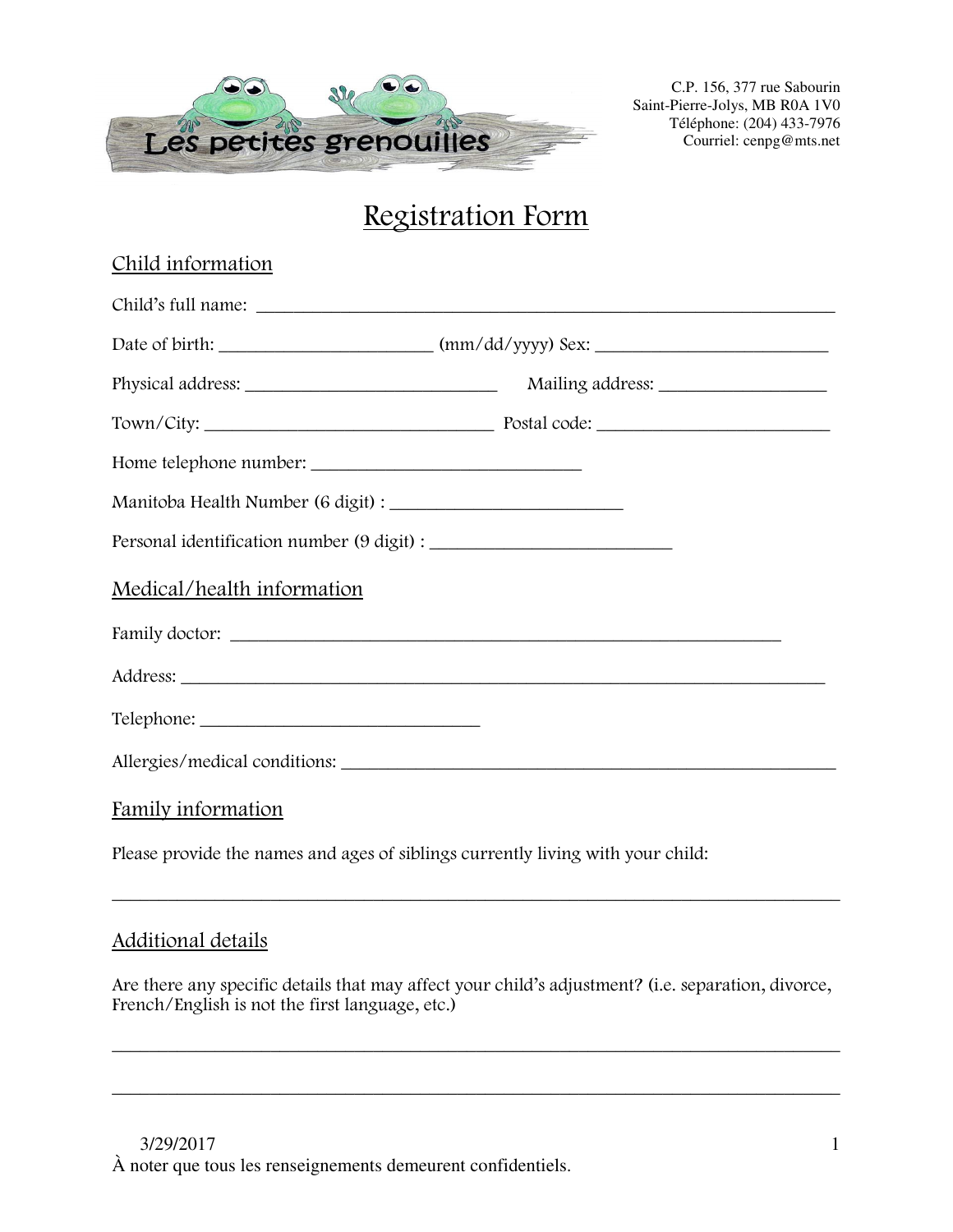

# Registration Form

| Child information          |  |
|----------------------------|--|
|                            |  |
|                            |  |
|                            |  |
|                            |  |
| Home telephone number:     |  |
|                            |  |
|                            |  |
| Medical/health information |  |
|                            |  |
|                            |  |
|                            |  |
|                            |  |
| Family information         |  |

Please provide the names and ages of siblings currently living with your child:

## Additional details

Are there any specific details that may affect your child's adjustment? (i.e. separation, divorce, French/English is not the first language, etc.)

\_\_\_\_\_\_\_\_\_\_\_\_\_\_\_\_\_\_\_\_\_\_\_\_\_\_\_\_\_\_\_\_\_\_\_\_\_\_\_\_\_\_\_\_\_\_\_\_\_\_\_\_\_\_\_\_\_\_\_\_\_\_\_\_\_\_\_\_\_\_\_\_\_\_\_\_\_\_

\_\_\_\_\_\_\_\_\_\_\_\_\_\_\_\_\_\_\_\_\_\_\_\_\_\_\_\_\_\_\_\_\_\_\_\_\_\_\_\_\_\_\_\_\_\_\_\_\_\_\_\_\_\_\_\_\_\_\_\_\_\_\_\_\_\_\_\_\_\_\_\_\_\_\_\_\_\_

\_\_\_\_\_\_\_\_\_\_\_\_\_\_\_\_\_\_\_\_\_\_\_\_\_\_\_\_\_\_\_\_\_\_\_\_\_\_\_\_\_\_\_\_\_\_\_\_\_\_\_\_\_\_\_\_\_\_\_\_\_\_\_\_\_\_\_\_\_\_\_\_\_\_\_\_\_\_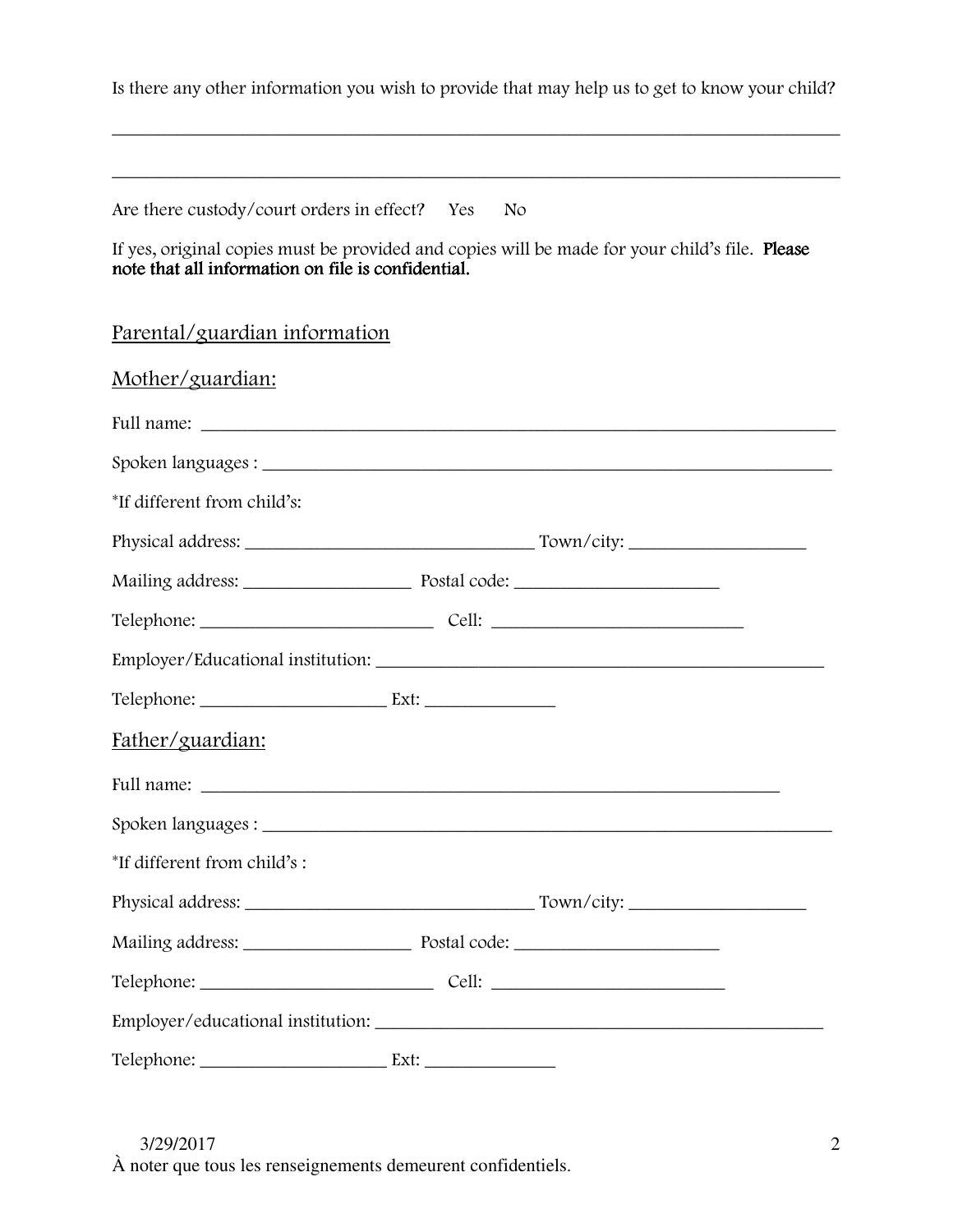Is there any other information you wish to provide that may help us to get to know your child?

\_\_\_\_\_\_\_\_\_\_\_\_\_\_\_\_\_\_\_\_\_\_\_\_\_\_\_\_\_\_\_\_\_\_\_\_\_\_\_\_\_\_\_\_\_\_\_\_\_\_\_\_\_\_\_\_\_\_\_\_\_\_\_\_\_\_\_\_\_\_\_\_\_\_\_\_\_\_

\_\_\_\_\_\_\_\_\_\_\_\_\_\_\_\_\_\_\_\_\_\_\_\_\_\_\_\_\_\_\_\_\_\_\_\_\_\_\_\_\_\_\_\_\_\_\_\_\_\_\_\_\_\_\_\_\_\_\_\_\_\_\_\_\_\_\_\_\_\_\_\_\_\_\_\_\_\_

Are there custody/court orders in effect? Yes No

If yes, original copies must be provided and copies will be made for your child's file. Please note that all information on file is confidential.

### Parental/guardian information

| Mother/guardian:            |  |
|-----------------------------|--|
|                             |  |
|                             |  |
| *If different from child's: |  |
|                             |  |
|                             |  |
|                             |  |
|                             |  |
|                             |  |
| Father/guardian:            |  |
|                             |  |
|                             |  |
| *If different from child's: |  |
|                             |  |
|                             |  |
|                             |  |
|                             |  |
|                             |  |

3/29/2017

À noter que tous les renseignements demeurent confidentiels.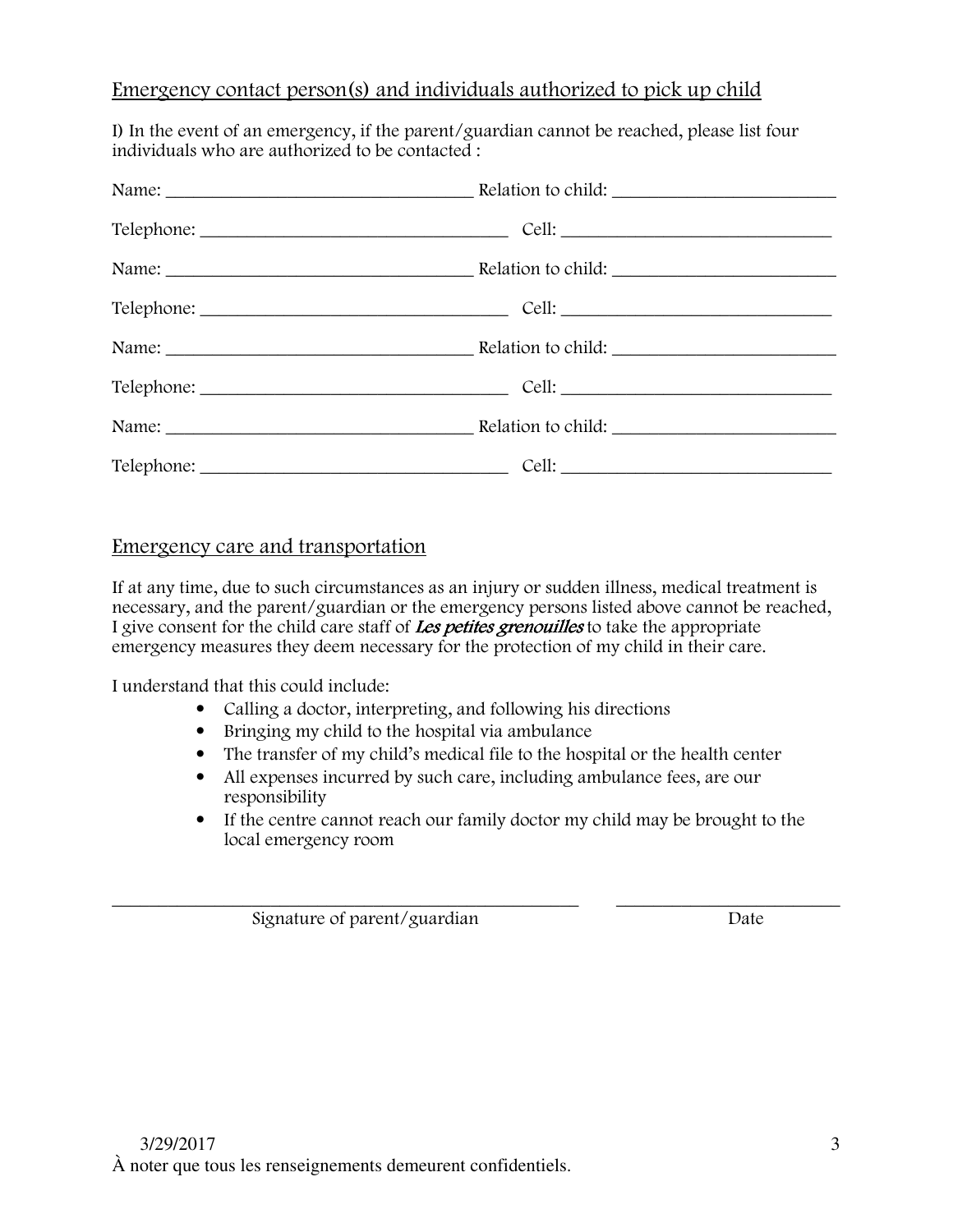#### Emergency contact person(s) and individuals authorized to pick up child

I) In the event of an emergency, if the parent/guardian cannot be reached, please list four individuals who are authorized to be contacted :

| Name: <u>Name:</u> Relation to child: |  |  |
|---------------------------------------|--|--|
|                                       |  |  |

### Emergency care and transportation

If at any time, due to such circumstances as an injury or sudden illness, medical treatment is necessary, and the parent/guardian or the emergency persons listed above cannot be reached, I give consent for the child care staff of Les petites grenouilles to take the appropriate emergency measures they deem necessary for the protection of my child in their care.

I understand that this could include:

- Calling a doctor, interpreting, and following his directions
- Bringing my child to the hospital via ambulance
- The transfer of my child's medical file to the hospital or the health center
- All expenses incurred by such care, including ambulance fees, are our responsibility
- If the centre cannot reach our family doctor my child may be brought to the local emergency room

\_\_\_\_\_\_\_\_\_\_\_\_\_\_\_\_\_\_\_\_\_\_\_\_\_\_\_\_\_\_\_\_\_\_\_\_\_\_\_\_\_\_\_\_\_\_\_\_\_\_ \_\_\_\_\_\_\_\_\_\_\_\_\_\_\_\_\_\_\_\_\_\_\_\_ Signature of parent/guardian Date